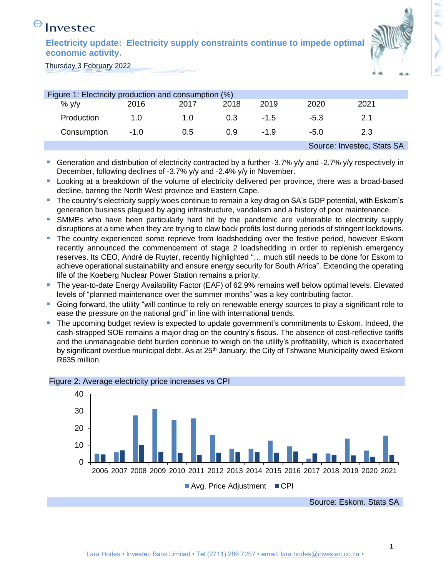# Investec

**Electricity update: Electricity supply constraints continue to impede optimal economic activity.** 



Thursday 3 February 2022

| Figure 1: Electricity production and consumption (%) |        |      |      |        |        |                            |  |  |
|------------------------------------------------------|--------|------|------|--------|--------|----------------------------|--|--|
| $%$ y/y                                              | 2016   | 2017 | 2018 | 2019   | 2020   | 2021                       |  |  |
| Production                                           | 1.0    | 1.0  | 0.3  | $-1.5$ | -5.3   | 2.1                        |  |  |
| Consumption                                          | $-1.0$ | 0.5  | 0.9  | $-1.9$ | $-5.0$ | 2.3                        |  |  |
|                                                      |        |      |      |        |        | Source: Investec, Stats SA |  |  |
|                                                      |        |      |      |        |        |                            |  |  |

- Generation and distribution of electricity contracted by a further -3.7% y/y and -2.7% y/y respectively in December, following declines of -3.7% y/y and -2.4% y/y in November.
- Looking at a breakdown of the volume of electricity delivered per province, there was a broad-based decline, barring the North West province and Eastern Cape.
- The country's electricity supply woes continue to remain a key drag on SA's GDP potential, with Eskom's generation business plagued by aging infrastructure, vandalism and a history of poor maintenance.
- SMMEs who have been particularly hard hit by the pandemic are vulnerable to electricity supply disruptions at a time when they are trying to claw back profits lost during periods of stringent lockdowns.
- The country experienced some reprieve from loadshedding over the festive period, however Eskom recently announced the commencement of stage 2 loadshedding in order to replenish emergency reserves. Its CEO, André de Ruyter, recently highlighted "… much still needs to be done for Eskom to achieve operational sustainability and ensure energy security for South Africa". Extending the operating life of the Koeberg Nuclear Power Station remains a priority.
- The year-to-date Energy Availability Factor (EAF) of 62.9% remains well below optimal levels. Elevated levels of "planned maintenance over the summer months" was a key contributing factor.
- Going forward, the utility "will continue to rely on renewable energy sources to play a significant role to ease the pressure on the national grid" in line with international trends.
- The upcoming budget review is expected to update government's commitments to Eskom. Indeed, the cash-strapped SOE remains a major drag on the country's fiscus. The absence of cost-reflective tariffs and the unmanageable debt burden continue to weigh on the utility's profitability, which is exacerbated by significant overdue municipal debt. As at 25<sup>th</sup> January, the City of Tshwane Municipality owed Eskom R635 million.



#### Figure 2: Average electricity price increases vs CPI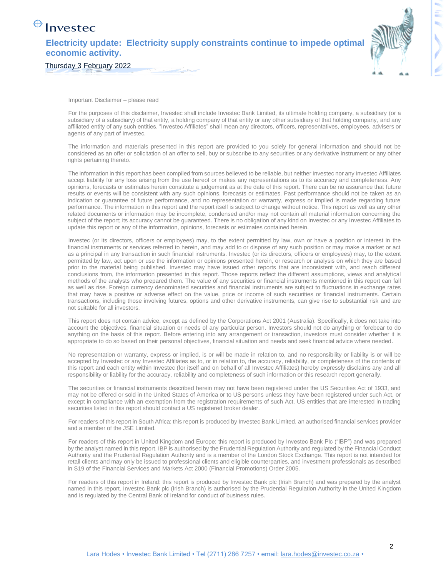## Investec

#### **Electricity update: Electricity supply constraints continue to impede optimal economic activity.**

Thursday 3 February 2022



t,

Important Disclaimer – please read

For the purposes of this disclaimer, Investec shall include Investec Bank Limited, its ultimate holding company, a subsidiary (or a subsidiary of a subsidiary) of that entity, a holding company of that entity or any other subsidiary of that holding company, and any affiliated entity of any such entities. "Investec Affiliates" shall mean any directors, officers, representatives, employees, advisers or agents of any part of Investec.

The information and materials presented in this report are provided to you solely for general information and should not be considered as an offer or solicitation of an offer to sell, buy or subscribe to any securities or any derivative instrument or any other rights pertaining thereto.

The information in this report has been compiled from sources believed to be reliable, but neither Investec nor any Investec Affiliates accept liability for any loss arising from the use hereof or makes any representations as to its accuracy and completeness. Any opinions, forecasts or estimates herein constitute a judgement as at the date of this report. There can be no assurance that future results or events will be consistent with any such opinions, forecasts or estimates. Past performance should not be taken as an indication or guarantee of future performance, and no representation or warranty, express or implied is made regarding future performance. The information in this report and the report itself is subject to change without notice. This report as well as any other related documents or information may be incomplete, condensed and/or may not contain all material information concerning the subject of the report; its accuracy cannot be guaranteed. There is no obligation of any kind on Investec or any Investec Affiliates to update this report or any of the information, opinions, forecasts or estimates contained herein.

Investec (or its directors, officers or employees) may, to the extent permitted by law, own or have a position or interest in the financial instruments or services referred to herein, and may add to or dispose of any such position or may make a market or act as a principal in any transaction in such financial instruments. Investec (or its directors, officers or employees) may, to the extent permitted by law, act upon or use the information or opinions presented herein, or research or analysis on which they are based prior to the material being published. Investec may have issued other reports that are inconsistent with, and reach different conclusions from, the information presented in this report. Those reports reflect the different assumptions, views and analytical methods of the analysts who prepared them. The value of any securities or financial instruments mentioned in this report can fall as well as rise. Foreign currency denominated securities and financial instruments are subject to fluctuations in exchange rates that may have a positive or adverse effect on the value, price or income of such securities or financial instruments. Certain transactions, including those involving futures, options and other derivative instruments, can give rise to substantial risk and are not suitable for all investors.

This report does not contain advice, except as defined by the Corporations Act 2001 (Australia). Specifically, it does not take into account the objectives, financial situation or needs of any particular person. Investors should not do anything or forebear to do anything on the basis of this report. Before entering into any arrangement or transaction, investors must consider whether it is appropriate to do so based on their personal objectives, financial situation and needs and seek financial advice where needed.

No representation or warranty, express or implied, is or will be made in relation to, and no responsibility or liability is or will be accepted by Investec or any Investec Affiliates as to, or in relation to, the accuracy, reliability, or completeness of the contents of this report and each entity within Investec (for itself and on behalf of all Investec Affiliates) hereby expressly disclaims any and all responsibility or liability for the accuracy, reliability and completeness of such information or this research report generally.

The securities or financial instruments described herein may not have been registered under the US Securities Act of 1933, and may not be offered or sold in the United States of America or to US persons unless they have been registered under such Act, or except in compliance with an exemption from the registration requirements of such Act. US entities that are interested in trading securities listed in this report should contact a US registered broker dealer.

For readers of this report in South Africa: this report is produced by Investec Bank Limited, an authorised financial services provider and a member of the JSE Limited.

For readers of this report in United Kingdom and Europe: this report is produced by Investec Bank Plc ("IBP") and was prepared by the analyst named in this report. IBP is authorised by the Prudential Regulation Authority and regulated by the Financial Conduct Authority and the Prudential Regulation Authority and is a member of the London Stock Exchange. This report is not intended for retail clients and may only be issued to professional clients and eligible counterparties, and investment professionals as described in S19 of the Financial Services and Markets Act 2000 (Financial Promotions) Order 2005.

For readers of this report in Ireland: this report is produced by Investec Bank plc (Irish Branch) and was prepared by the analyst named in this report. Investec Bank plc (Irish Branch) is authorised by the Prudential Regulation Authority in the United Kingdom and is regulated by the Central Bank of Ireland for conduct of business rules.